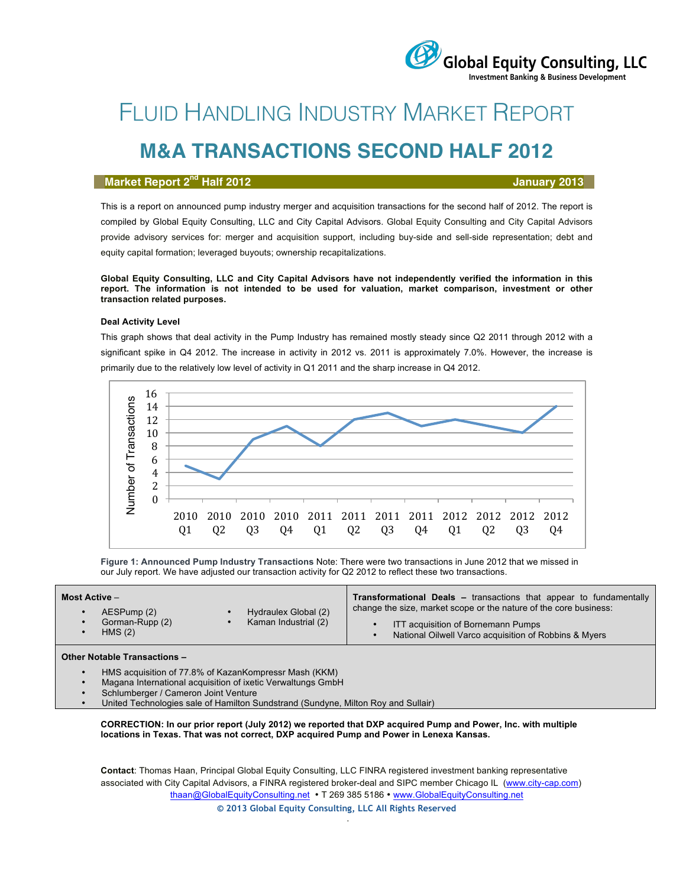# FLUID HANDLING INDUSTRY MARKET REPORT

## **M&A TRANSACTIONS SECOND HALF 2012**

### **Market Report 2nd Half 2012 January 2013**

 $\sqrt{\ }$ Global Equity Consulting, LLC **Investment Banking & Business Development** 

This is a report on announced pump industry merger and acquisition transactions for the second half of 2012. The report is compiled by Global Equity Consulting, LLC and City Capital Advisors. Global Equity Consulting and City Capital Advisors provide advisory services for: merger and acquisition support, including buy-side and sell-side representation; debt and equity capital formation; leveraged buyouts; ownership recapitalizations.

**Global Equity Consulting, LLC and City Capital Advisors have not independently verified the information in this report. The information is not intended to be used for valuation, market comparison, investment or other transaction related purposes.**

#### **Deal Activity Level**

This graph shows that deal activity in the Pump Industry has remained mostly steady since Q2 2011 through 2012 with a significant spike in Q4 2012. The increase in activity in 2012 vs. 2011 is approximately 7.0%. However, the increase is primarily due to the relatively low level of activity in Q1 2011 and the sharp increase in Q4 2012.



**Figure 1: Announced Pump Industry Transactions** Note: There were two transactions in June 2012 that we missed in our July report. We have adjusted our transaction activity for Q2 2012 to reflect these two transactions.

| Hydraulex Global (2)<br>AESPump (2)<br>Gorman-Rupp (2)<br>Kaman Industrial (2)<br>ITT acquisition of Bornemann Pumps<br>HMS(2)<br>National Oilwell Varco acquisition of Robbins & Myers | Most Active – | <b>Transformational Deals - transactions that appear to fundamentally</b> |  |  |  |
|-----------------------------------------------------------------------------------------------------------------------------------------------------------------------------------------|---------------|---------------------------------------------------------------------------|--|--|--|
|                                                                                                                                                                                         |               | change the size, market scope or the nature of the core business:         |  |  |  |

#### **Other Notable Transactions –**

- HMS acquisition of 77.8% of KazanKompressr Mash (KKM)
- Magana International acquisition of ixetic Verwaltungs GmbH
- Schlumberger / Cameron Joint Venture
- United Technologies sale of Hamilton Sundstrand (Sundyne, Milton Roy and Sullair)

**CORRECTION: In our prior report (July 2012) we reported that DXP acquired Pump and Power, Inc. with multiple locations in Texas. That was not correct, DXP acquired Pump and Power in Lenexa Kansas.**

**Contact**: Thomas Haan, Principal Global Equity Consulting, LLC FINRA registered investment banking representative associated with City Capital Advisors, a FINRA registered broker-deal and SIPC member Chicago IL (www.city-cap.com) thaan@GlobalEquityConsulting.net • T 269 385 5186 • www.GlobalEquityConsulting.net **© 2013 Global Equity Consulting, LLC All Rights Reserved**

.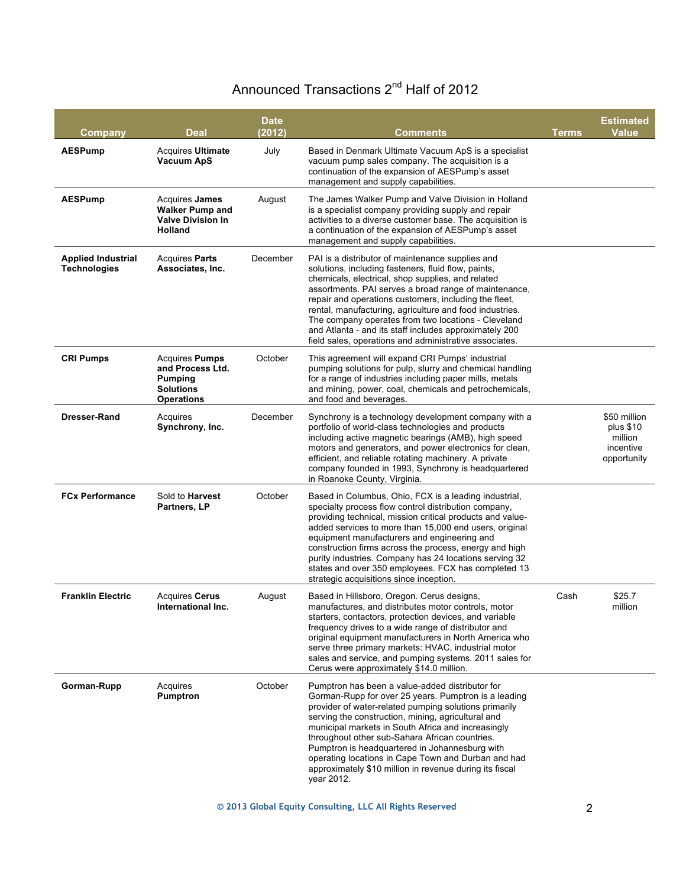### Announced Transactions 2<sup>nd</sup> Half of 2012

| Company                                          | <b>Deal</b>                                                                                          | <b>Date</b><br>(2012) | Comments                                                                                                                                                                                                                                                                                                                                                                                                                                                                                                             | Terms | <b>Estimated</b><br><b>Value</b>                                 |
|--------------------------------------------------|------------------------------------------------------------------------------------------------------|-----------------------|----------------------------------------------------------------------------------------------------------------------------------------------------------------------------------------------------------------------------------------------------------------------------------------------------------------------------------------------------------------------------------------------------------------------------------------------------------------------------------------------------------------------|-------|------------------------------------------------------------------|
| <b>AESPump</b>                                   | <b>Acquires Ultimate</b><br><b>Vacuum ApS</b>                                                        | July                  | Based in Denmark Ultimate Vacuum ApS is a specialist<br>vacuum pump sales company. The acquisition is a<br>continuation of the expansion of AESPump's asset<br>management and supply capabilities.                                                                                                                                                                                                                                                                                                                   |       |                                                                  |
| <b>AESPump</b>                                   | Acquires <b>James</b><br><b>Walker Pump and</b><br><b>Valve Division In</b><br>Holland               | August                | The James Walker Pump and Valve Division in Holland<br>is a specialist company providing supply and repair<br>activities to a diverse customer base. The acquisition is<br>a continuation of the expansion of AESPump's asset<br>management and supply capabilities.                                                                                                                                                                                                                                                 |       |                                                                  |
| <b>Applied Industrial</b><br><b>Technologies</b> | <b>Acquires Parts</b><br>Associates, Inc.                                                            | December              | PAI is a distributor of maintenance supplies and<br>solutions, including fasteners, fluid flow, paints,<br>chemicals, electrical, shop supplies, and related<br>assortments. PAI serves a broad range of maintenance,<br>repair and operations customers, including the fleet,<br>rental, manufacturing, agriculture and food industries.<br>The company operates from two locations - Cleveland<br>and Atlanta - and its staff includes approximately 200<br>field sales, operations and administrative associates. |       |                                                                  |
| <b>CRI Pumps</b>                                 | <b>Acquires Pumps</b><br>and Process Ltd.<br><b>Pumping</b><br><b>Solutions</b><br><b>Operations</b> | October               | This agreement will expand CRI Pumps' industrial<br>pumping solutions for pulp, slurry and chemical handling<br>for a range of industries including paper mills, metals<br>and mining, power, coal, chemicals and petrochemicals,<br>and food and beverages.                                                                                                                                                                                                                                                         |       |                                                                  |
| Dresser-Rand                                     | Acquires<br>Synchrony, Inc.                                                                          | December              | Synchrony is a technology development company with a<br>portfolio of world-class technologies and products<br>including active magnetic bearings (AMB), high speed<br>motors and generators, and power electronics for clean,<br>efficient, and reliable rotating machinery. A private<br>company founded in 1993, Synchrony is headquartered<br>in Roanoke County, Virginia.                                                                                                                                        |       | \$50 million<br>plus \$10<br>million<br>incentive<br>opportunity |
| <b>FCx Performance</b>                           | Sold to <b>Harvest</b><br>Partners, LP                                                               | October               | Based in Columbus, Ohio, FCX is a leading industrial,<br>specialty process flow control distribution company,<br>providing technical, mission critical products and value-<br>added services to more than 15,000 end users, original<br>equipment manufacturers and engineering and<br>construction firms across the process, energy and high<br>purity industries. Company has 24 locations serving 32<br>states and over 350 employees. FCX has completed 13<br>strategic acquisitions since inception.            |       |                                                                  |
| <b>Franklin Electric</b>                         | Acquires Cerus<br>International Inc.                                                                 | August                | Based in Hillsboro, Oregon. Cerus designs,<br>manufactures, and distributes motor controls, motor<br>starters, contactors, protection devices, and variable<br>frequency drives to a wide range of distributor and<br>original equipment manufacturers in North America who<br>serve three primary markets: HVAC, industrial motor<br>sales and service, and pumping systems. 2011 sales for<br>Cerus were approximately \$14.0 million.                                                                             | Cash  | \$25.7<br>million                                                |
| Gorman-Rupp                                      | Acquires<br>Pumptron                                                                                 | October               | Pumptron has been a value-added distributor for<br>Gorman-Rupp for over 25 years. Pumptron is a leading<br>provider of water-related pumping solutions primarily<br>serving the construction, mining, agricultural and<br>municipal markets in South Africa and increasingly<br>throughout other sub-Sahara African countries.<br>Pumptron is headquartered in Johannesburg with<br>operating locations in Cape Town and Durban and had<br>approximately \$10 million in revenue during its fiscal<br>year 2012.     |       |                                                                  |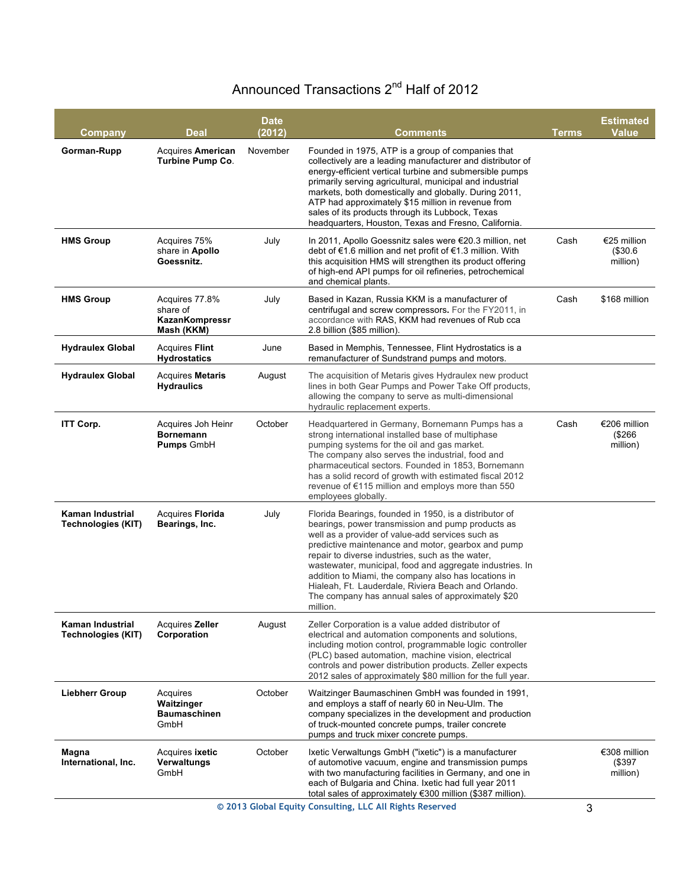### Announced Transactions 2<sup>nd</sup> Half of 2012

| Company                                                  | <b>Deal</b>                                                 | <b>Date</b><br>(2012) | Comments                                                                                                                                                                                                                                                                                                                                                                                                                                                                                                               | <b>Terms</b> | <b>Estimated</b><br><b>Value</b>    |
|----------------------------------------------------------|-------------------------------------------------------------|-----------------------|------------------------------------------------------------------------------------------------------------------------------------------------------------------------------------------------------------------------------------------------------------------------------------------------------------------------------------------------------------------------------------------------------------------------------------------------------------------------------------------------------------------------|--------------|-------------------------------------|
| Gorman-Rupp                                              | <b>Acquires American</b><br>Turbine Pump Co.                | November              | Founded in 1975, ATP is a group of companies that<br>collectively are a leading manufacturer and distributor of<br>energy-efficient vertical turbine and submersible pumps<br>primarily serving agricultural, municipal and industrial<br>markets, both domestically and globally. During 2011,<br>ATP had approximately \$15 million in revenue from<br>sales of its products through its Lubbock, Texas<br>headquarters, Houston, Texas and Fresno, California.                                                      |              |                                     |
| <b>HMS Group</b>                                         | Acquires 75%<br>share in Apollo<br>Goessnitz.               | July                  | In 2011, Apollo Goessnitz sales were €20.3 million, net<br>debt of €1.6 million and net profit of €1.3 million. With<br>this acquisition HMS will strengthen its product offering<br>of high-end API pumps for oil refineries, petrochemical<br>and chemical plants.                                                                                                                                                                                                                                                   | Cash         | €25 million<br>(\$30.6"<br>million) |
| <b>HMS Group</b>                                         | Acquires 77.8%<br>share of<br>KazanKompressr<br>Mash (KKM)  | July                  | Based in Kazan, Russia KKM is a manufacturer of<br>centrifugal and screw compressors. For the FY2011, in<br>accordance with RAS, KKM had revenues of Rub cca<br>2.8 billion (\$85 million).                                                                                                                                                                                                                                                                                                                            | Cash         | \$168 million                       |
| <b>Hydraulex Global</b>                                  | <b>Acquires Flint</b><br><b>Hydrostatics</b>                | June                  | Based in Memphis, Tennessee, Flint Hydrostatics is a<br>remanufacturer of Sundstrand pumps and motors.                                                                                                                                                                                                                                                                                                                                                                                                                 |              |                                     |
| <b>Hydraulex Global</b>                                  | Acquires Metaris<br><b>Hydraulics</b>                       | August                | The acquisition of Metaris gives Hydraulex new product<br>lines in both Gear Pumps and Power Take Off products,<br>allowing the company to serve as multi-dimensional<br>hydraulic replacement experts.                                                                                                                                                                                                                                                                                                                |              |                                     |
| <b>ITT Corp.</b>                                         | Acquires Joh Heinr<br><b>Bornemann</b><br><b>Pumps GmbH</b> | October               | Headquartered in Germany, Bornemann Pumps has a<br>strong international installed base of multiphase<br>pumping systems for the oil and gas market.<br>The company also serves the industrial, food and<br>pharmaceutical sectors. Founded in 1853, Bornemann<br>has a solid record of growth with estimated fiscal 2012<br>revenue of €115 million and employs more than 550<br>employees globally.                                                                                                                   | Cash         | €206 million<br>(\$266<br>million)  |
| Kaman Industrial<br><b>Technologies (KIT)</b>            | Acquires Florida<br>Bearings, Inc.                          | July                  | Florida Bearings, founded in 1950, is a distributor of<br>bearings, power transmission and pump products as<br>well as a provider of value-add services such as<br>predictive maintenance and motor, gearbox and pump<br>repair to diverse industries, such as the water,<br>wastewater, municipal, food and aggregate industries. In<br>addition to Miami, the company also has locations in<br>Hialeah, Ft. Lauderdale, Riviera Beach and Orlando.<br>The company has annual sales of approximately \$20<br>million. |              |                                     |
| Kaman Industrial<br><b>Technologies (KIT)</b>            | Acquires Zeller<br>Corporation                              | August                | Zeller Corporation is a value added distributor of<br>electrical and automation components and solutions,<br>including motion control, programmable logic controller<br>(PLC) based automation, machine vision, electrical<br>controls and power distribution products. Zeller expects<br>2012 sales of approximately \$80 million for the full year.                                                                                                                                                                  |              |                                     |
| <b>Liebherr Group</b>                                    | Acquires<br>Waitzinger<br><b>Baumaschinen</b><br>GmbH       | October               | Waitzinger Baumaschinen GmbH was founded in 1991,<br>and employs a staff of nearly 60 in Neu-Ulm. The<br>company specializes in the development and production<br>of truck-mounted concrete pumps, trailer concrete<br>pumps and truck mixer concrete pumps.                                                                                                                                                                                                                                                           |              |                                     |
| Magna<br>International, Inc.                             | Acquires <b>ixetic</b><br>Verwaltungs<br>GmbH               | October               | Ixetic Verwaltungs GmbH ("ixetic") is a manufacturer<br>of automotive vacuum, engine and transmission pumps<br>with two manufacturing facilities in Germany, and one in<br>each of Bulgaria and China. Ixetic had full year 2011<br>total sales of approximately €300 million (\$387 million).                                                                                                                                                                                                                         |              | €308 million<br>(\$397<br>million)  |
| © 2013 Global Equity Consulting, LLC All Rights Reserved |                                                             |                       |                                                                                                                                                                                                                                                                                                                                                                                                                                                                                                                        |              | 3                                   |